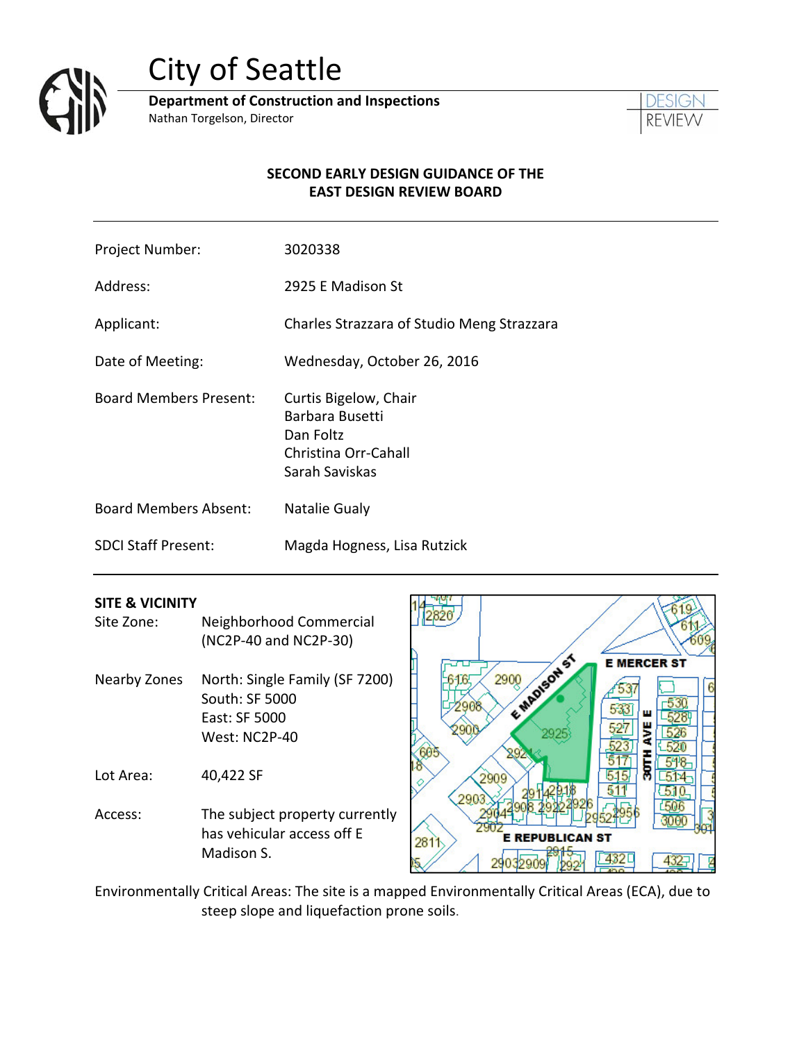

# City of Seattle

**Department of Construction and Inspections** Nathan Torgelson, Director



#### **SECOND EARLY DESIGN GUIDANCE OF THE EAST DESIGN REVIEW BOARD**

- Project Number: 3020338
- Address: 2925 E Madison St

Applicant: Charles Strazzara of Studio Meng Strazzara

Date of Meeting: Wednesday, October 26, 2016

Board Members Present: Curtis Bigelow, Chair

- Barbara Busetti Dan Foltz Christina Orr‐Cahall Sarah Saviskas
- Board Members Absent: Natalie Gualy

SDCI Staff Present: Magda Hogness, Lisa Rutzick

#### **SITE & VICINITY**

- Site Zone: Neighborhood Commercial (NC2P‐40 and NC2P‐30)
- Nearby Zones North: Single Family (SF 7200) South: SF 5000 East: SF 5000 West: NC2P‐40

Lot Area: 40,422 SF

Access: The subject property currently has vehicular access off E Madison S.



Environmentally Critical Areas: The site is a mapped Environmentally Critical Areas (ECA), due to steep slope and liquefaction prone soils.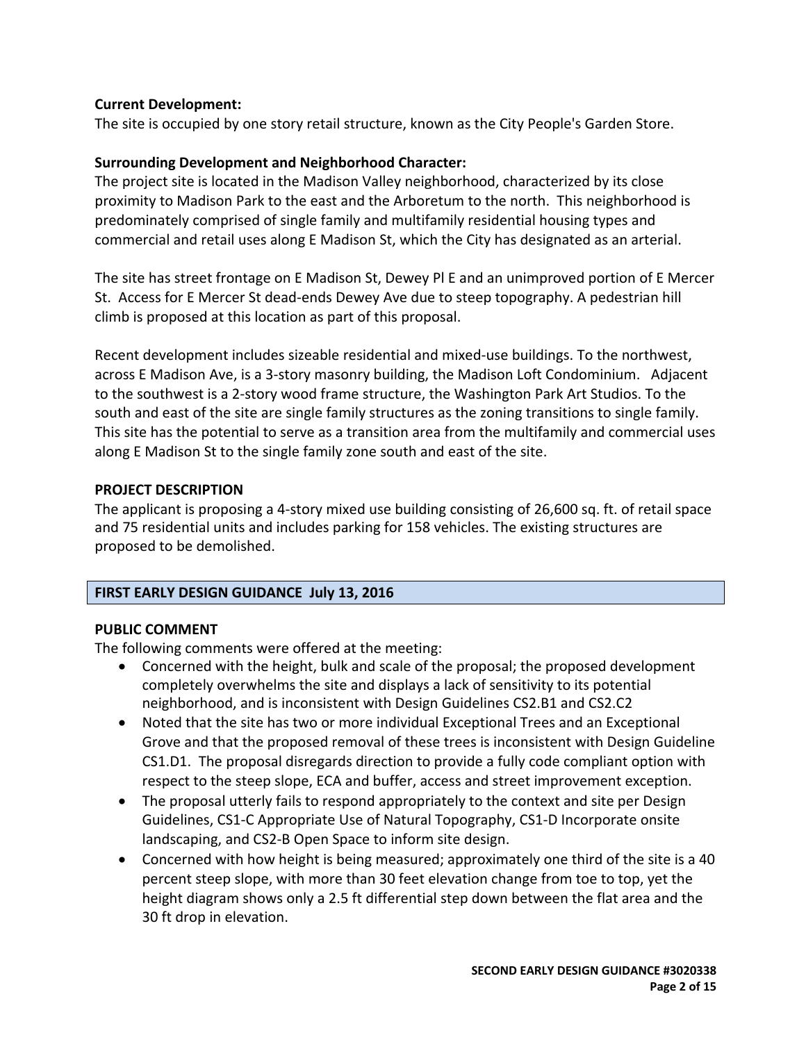#### **Current Development:**

The site is occupied by one story retail structure, known as the City People's Garden Store.

#### **Surrounding Development and Neighborhood Character:**

The project site is located in the Madison Valley neighborhood, characterized by its close proximity to Madison Park to the east and the Arboretum to the north. This neighborhood is predominately comprised of single family and multifamily residential housing types and commercial and retail uses along E Madison St, which the City has designated as an arterial.

The site has street frontage on E Madison St, Dewey Pl E and an unimproved portion of E Mercer St. Access for E Mercer St dead‐ends Dewey Ave due to steep topography. A pedestrian hill climb is proposed at this location as part of this proposal.

Recent development includes sizeable residential and mixed-use buildings. To the northwest, across E Madison Ave, is a 3‐story masonry building, the Madison Loft Condominium. Adjacent to the southwest is a 2‐story wood frame structure, the Washington Park Art Studios. To the south and east of the site are single family structures as the zoning transitions to single family. This site has the potential to serve as a transition area from the multifamily and commercial uses along E Madison St to the single family zone south and east of the site.

#### **PROJECT DESCRIPTION**

The applicant is proposing a 4‐story mixed use building consisting of 26,600 sq. ft. of retail space and 75 residential units and includes parking for 158 vehicles. The existing structures are proposed to be demolished.

## **FIRST EARLY DESIGN GUIDANCE July 13, 2016**

#### **PUBLIC COMMENT**

The following comments were offered at the meeting:

- Concerned with the height, bulk and scale of the proposal; the proposed development completely overwhelms the site and displays a lack of sensitivity to its potential neighborhood, and is inconsistent with Design Guidelines CS2.B1 and CS2.C2
- Noted that the site has two or more individual Exceptional Trees and an Exceptional Grove and that the proposed removal of these trees is inconsistent with Design Guideline CS1.D1. The proposal disregards direction to provide a fully code compliant option with respect to the steep slope, ECA and buffer, access and street improvement exception.
- The proposal utterly fails to respond appropriately to the context and site per Design Guidelines, CS1‐C Appropriate Use of Natural Topography, CS1‐D Incorporate onsite landscaping, and CS2‐B Open Space to inform site design.
- Concerned with how height is being measured; approximately one third of the site is a 40 percent steep slope, with more than 30 feet elevation change from toe to top, yet the height diagram shows only a 2.5 ft differential step down between the flat area and the 30 ft drop in elevation.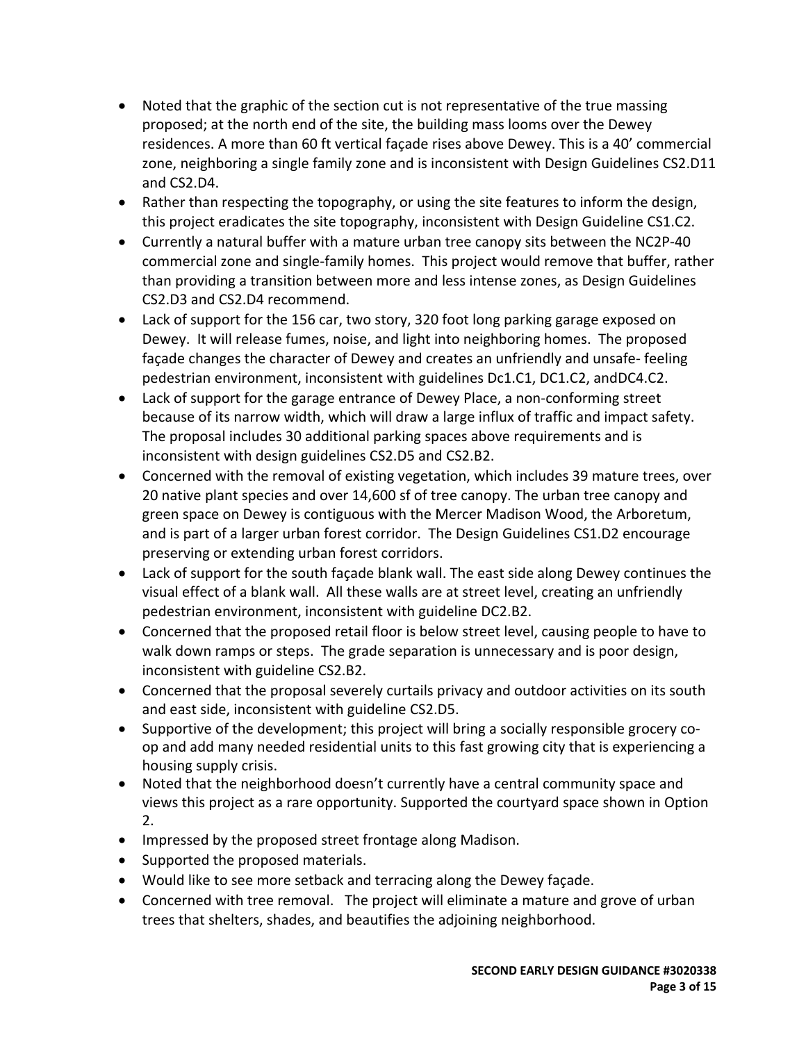- Noted that the graphic of the section cut is not representative of the true massing proposed; at the north end of the site, the building mass looms over the Dewey residences. A more than 60 ft vertical façade rises above Dewey. This is a 40' commercial zone, neighboring a single family zone and is inconsistent with Design Guidelines CS2.D11 and CS2.D4.
- Rather than respecting the topography, or using the site features to inform the design, this project eradicates the site topography, inconsistent with Design Guideline CS1.C2.
- Currently a natural buffer with a mature urban tree canopy sits between the NC2P‐40 commercial zone and single‐family homes. This project would remove that buffer, rather than providing a transition between more and less intense zones, as Design Guidelines CS2.D3 and CS2.D4 recommend.
- Lack of support for the 156 car, two story, 320 foot long parking garage exposed on Dewey. It will release fumes, noise, and light into neighboring homes. The proposed façade changes the character of Dewey and creates an unfriendly and unsafe‐ feeling pedestrian environment, inconsistent with guidelines Dc1.C1, DC1.C2, andDC4.C2.
- Lack of support for the garage entrance of Dewey Place, a non-conforming street because of its narrow width, which will draw a large influx of traffic and impact safety. The proposal includes 30 additional parking spaces above requirements and is inconsistent with design guidelines CS2.D5 and CS2.B2.
- Concerned with the removal of existing vegetation, which includes 39 mature trees, over 20 native plant species and over 14,600 sf of tree canopy. The urban tree canopy and green space on Dewey is contiguous with the Mercer Madison Wood, the Arboretum, and is part of a larger urban forest corridor. The Design Guidelines CS1.D2 encourage preserving or extending urban forest corridors.
- Lack of support for the south façade blank wall. The east side along Dewey continues the visual effect of a blank wall. All these walls are at street level, creating an unfriendly pedestrian environment, inconsistent with guideline DC2.B2.
- Concerned that the proposed retail floor is below street level, causing people to have to walk down ramps or steps. The grade separation is unnecessary and is poor design, inconsistent with guideline CS2.B2.
- Concerned that the proposal severely curtails privacy and outdoor activities on its south and east side, inconsistent with guideline CS2.D5.
- Supportive of the development; this project will bring a socially responsible grocery coop and add many needed residential units to this fast growing city that is experiencing a housing supply crisis.
- Noted that the neighborhood doesn't currently have a central community space and views this project as a rare opportunity. Supported the courtyard space shown in Option 2.
- Impressed by the proposed street frontage along Madison.
- Supported the proposed materials.
- Would like to see more setback and terracing along the Dewey façade.
- Concerned with tree removal. The project will eliminate a mature and grove of urban trees that shelters, shades, and beautifies the adjoining neighborhood.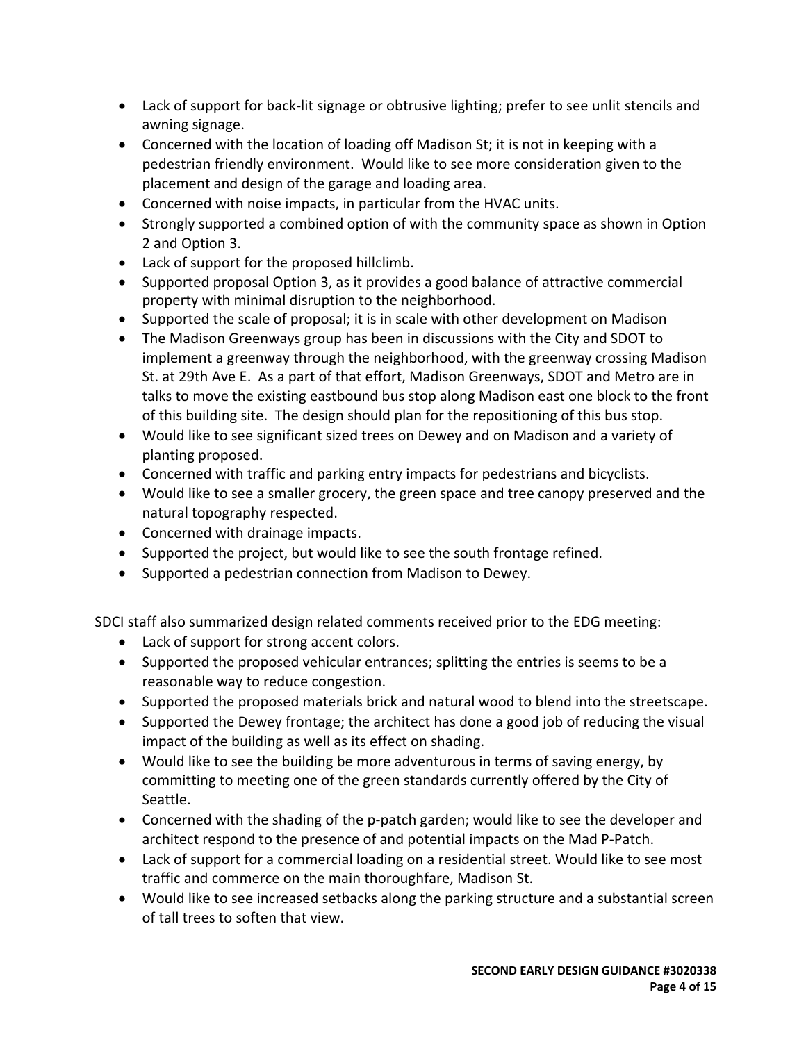- Lack of support for back-lit signage or obtrusive lighting; prefer to see unlit stencils and awning signage.
- Concerned with the location of loading off Madison St; it is not in keeping with a pedestrian friendly environment. Would like to see more consideration given to the placement and design of the garage and loading area.
- Concerned with noise impacts, in particular from the HVAC units.
- Strongly supported a combined option of with the community space as shown in Option 2 and Option 3.
- Lack of support for the proposed hillclimb.
- Supported proposal Option 3, as it provides a good balance of attractive commercial property with minimal disruption to the neighborhood.
- Supported the scale of proposal; it is in scale with other development on Madison
- The Madison Greenways group has been in discussions with the City and SDOT to implement a greenway through the neighborhood, with the greenway crossing Madison St. at 29th Ave E. As a part of that effort, Madison Greenways, SDOT and Metro are in talks to move the existing eastbound bus stop along Madison east one block to the front of this building site. The design should plan for the repositioning of this bus stop.
- Would like to see significant sized trees on Dewey and on Madison and a variety of planting proposed.
- Concerned with traffic and parking entry impacts for pedestrians and bicyclists.
- Would like to see a smaller grocery, the green space and tree canopy preserved and the natural topography respected.
- Concerned with drainage impacts.
- Supported the project, but would like to see the south frontage refined.
- Supported a pedestrian connection from Madison to Dewey.

SDCI staff also summarized design related comments received prior to the EDG meeting:

- Lack of support for strong accent colors.
- Supported the proposed vehicular entrances; splitting the entries is seems to be a reasonable way to reduce congestion.
- Supported the proposed materials brick and natural wood to blend into the streetscape.
- Supported the Dewey frontage; the architect has done a good job of reducing the visual impact of the building as well as its effect on shading.
- Would like to see the building be more adventurous in terms of saving energy, by committing to meeting one of the green standards currently offered by the City of Seattle.
- Concerned with the shading of the p-patch garden; would like to see the developer and architect respond to the presence of and potential impacts on the Mad P‐Patch.
- Lack of support for a commercial loading on a residential street. Would like to see most traffic and commerce on the main thoroughfare, Madison St.
- Would like to see increased setbacks along the parking structure and a substantial screen of tall trees to soften that view.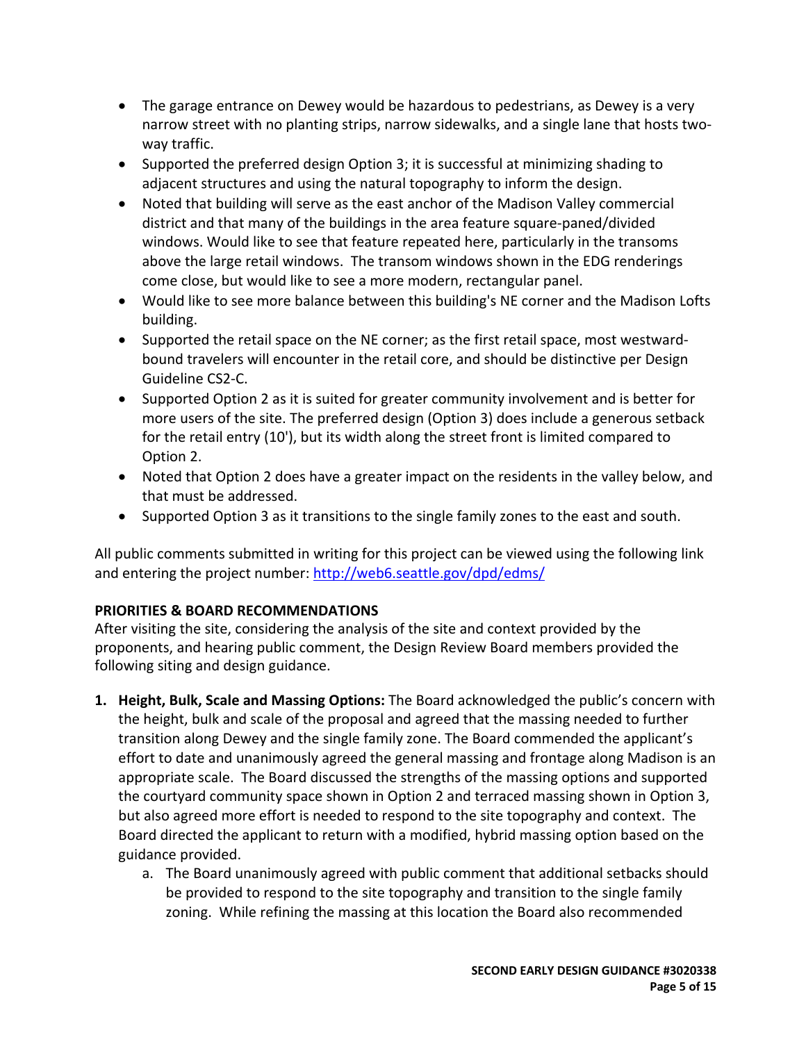- The garage entrance on Dewey would be hazardous to pedestrians, as Dewey is a very narrow street with no planting strips, narrow sidewalks, and a single lane that hosts twoway traffic.
- Supported the preferred design Option 3; it is successful at minimizing shading to adjacent structures and using the natural topography to inform the design.
- Noted that building will serve as the east anchor of the Madison Valley commercial district and that many of the buildings in the area feature square‐paned/divided windows. Would like to see that feature repeated here, particularly in the transoms above the large retail windows. The transom windows shown in the EDG renderings come close, but would like to see a more modern, rectangular panel.
- Would like to see more balance between this building's NE corner and the Madison Lofts building.
- Supported the retail space on the NE corner; as the first retail space, most westwardbound travelers will encounter in the retail core, and should be distinctive per Design Guideline CS2‐C.
- Supported Option 2 as it is suited for greater community involvement and is better for more users of the site. The preferred design (Option 3) does include a generous setback for the retail entry (10'), but its width along the street front is limited compared to Option 2.
- Noted that Option 2 does have a greater impact on the residents in the valley below, and that must be addressed.
- Supported Option 3 as it transitions to the single family zones to the east and south.

All public comments submitted in writing for this project can be viewed using the following link and entering the project number: http://web6.seattle.gov/dpd/edms/

# **PRIORITIES & BOARD RECOMMENDATIONS**

After visiting the site, considering the analysis of the site and context provided by the proponents, and hearing public comment, the Design Review Board members provided the following siting and design guidance.

- **1. Height, Bulk, Scale and Massing Options:** The Board acknowledged the public's concern with the height, bulk and scale of the proposal and agreed that the massing needed to further transition along Dewey and the single family zone. The Board commended the applicant's effort to date and unanimously agreed the general massing and frontage along Madison is an appropriate scale. The Board discussed the strengths of the massing options and supported the courtyard community space shown in Option 2 and terraced massing shown in Option 3, but also agreed more effort is needed to respond to the site topography and context. The Board directed the applicant to return with a modified, hybrid massing option based on the guidance provided.
	- a. The Board unanimously agreed with public comment that additional setbacks should be provided to respond to the site topography and transition to the single family zoning. While refining the massing at this location the Board also recommended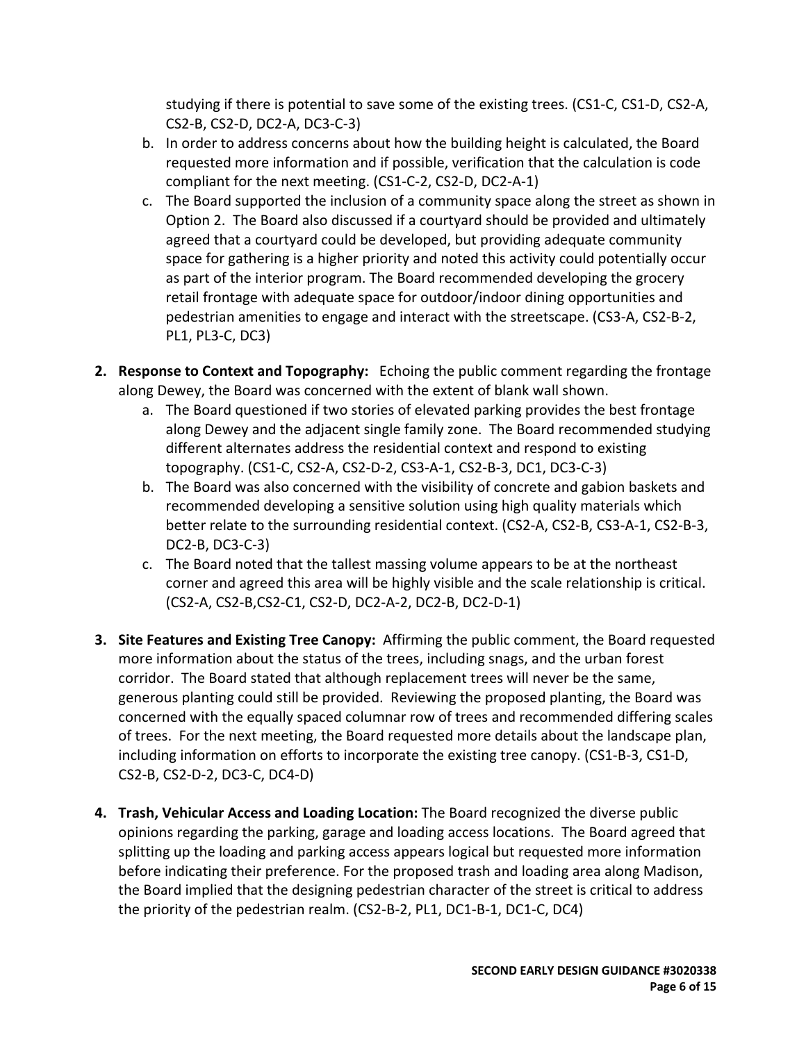studying if there is potential to save some of the existing trees. (CS1‐C, CS1‐D, CS2‐A, CS2‐B, CS2‐D, DC2‐A, DC3‐C‐3)

- b. In order to address concerns about how the building height is calculated, the Board requested more information and if possible, verification that the calculation is code compliant for the next meeting. (CS1‐C‐2, CS2‐D, DC2‐A‐1)
- c. The Board supported the inclusion of a community space along the street as shown in Option 2. The Board also discussed if a courtyard should be provided and ultimately agreed that a courtyard could be developed, but providing adequate community space for gathering is a higher priority and noted this activity could potentially occur as part of the interior program. The Board recommended developing the grocery retail frontage with adequate space for outdoor/indoor dining opportunities and pedestrian amenities to engage and interact with the streetscape. (CS3‐A, CS2‐B‐2, PL1, PL3‐C, DC3)
- **2. Response to Context and Topography:** Echoing the public comment regarding the frontage along Dewey, the Board was concerned with the extent of blank wall shown.
	- a. The Board questioned if two stories of elevated parking provides the best frontage along Dewey and the adjacent single family zone. The Board recommended studying different alternates address the residential context and respond to existing topography. (CS1‐C, CS2‐A, CS2‐D‐2, CS3‐A‐1, CS2‐B‐3, DC1, DC3‐C‐3)
	- b. The Board was also concerned with the visibility of concrete and gabion baskets and recommended developing a sensitive solution using high quality materials which better relate to the surrounding residential context. (CS2‐A, CS2‐B, CS3‐A‐1, CS2‐B‐3, DC2‐B, DC3‐C‐3)
	- c. The Board noted that the tallest massing volume appears to be at the northeast corner and agreed this area will be highly visible and the scale relationship is critical. (CS2‐A, CS2‐B,CS2‐C1, CS2‐D, DC2‐A‐2, DC2‐B, DC2‐D‐1)
- **3. Site Features and Existing Tree Canopy:** Affirming the public comment, the Board requested more information about the status of the trees, including snags, and the urban forest corridor. The Board stated that although replacement trees will never be the same, generous planting could still be provided. Reviewing the proposed planting, the Board was concerned with the equally spaced columnar row of trees and recommended differing scales of trees. For the next meeting, the Board requested more details about the landscape plan, including information on efforts to incorporate the existing tree canopy. (CS1‐B‐3, CS1‐D, CS2‐B, CS2‐D‐2, DC3‐C, DC4‐D)
- **4. Trash, Vehicular Access and Loading Location:** The Board recognized the diverse public opinions regarding the parking, garage and loading access locations. The Board agreed that splitting up the loading and parking access appears logical but requested more information before indicating their preference. For the proposed trash and loading area along Madison, the Board implied that the designing pedestrian character of the street is critical to address the priority of the pedestrian realm. (CS2‐B‐2, PL1, DC1‐B‐1, DC1‐C, DC4)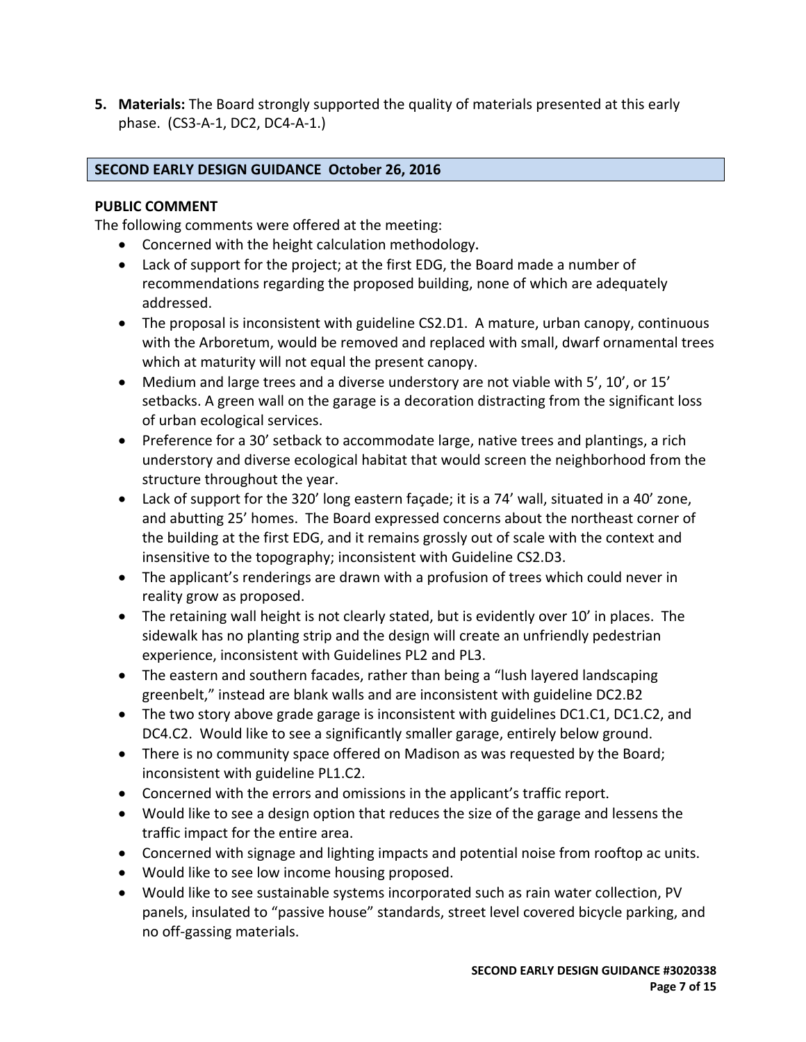**5. Materials:** The Board strongly supported the quality of materials presented at this early phase. (CS3‐A‐1, DC2, DC4‐A‐1.)

## **SECOND EARLY DESIGN GUIDANCE October 26, 2016**

## **PUBLIC COMMENT**

The following comments were offered at the meeting:

- Concerned with the height calculation methodology**.**
- Lack of support for the project; at the first EDG, the Board made a number of recommendations regarding the proposed building, none of which are adequately addressed.
- The proposal is inconsistent with guideline CS2.D1. A mature, urban canopy, continuous with the Arboretum, would be removed and replaced with small, dwarf ornamental trees which at maturity will not equal the present canopy.
- Medium and large trees and a diverse understory are not viable with 5', 10', or 15' setbacks. A green wall on the garage is a decoration distracting from the significant loss of urban ecological services.
- Preference for a 30' setback to accommodate large, native trees and plantings, a rich understory and diverse ecological habitat that would screen the neighborhood from the structure throughout the year.
- Lack of support for the 320' long eastern façade; it is a 74' wall, situated in a 40' zone, and abutting 25' homes. The Board expressed concerns about the northeast corner of the building at the first EDG, and it remains grossly out of scale with the context and insensitive to the topography; inconsistent with Guideline CS2.D3.
- The applicant's renderings are drawn with a profusion of trees which could never in reality grow as proposed.
- The retaining wall height is not clearly stated, but is evidently over 10' in places. The sidewalk has no planting strip and the design will create an unfriendly pedestrian experience, inconsistent with Guidelines PL2 and PL3.
- The eastern and southern facades, rather than being a "lush layered landscaping greenbelt," instead are blank walls and are inconsistent with guideline DC2.B2
- The two story above grade garage is inconsistent with guidelines DC1.C1, DC1.C2, and DC4.C2. Would like to see a significantly smaller garage, entirely below ground.
- There is no community space offered on Madison as was requested by the Board; inconsistent with guideline PL1.C2.
- Concerned with the errors and omissions in the applicant's traffic report.
- Would like to see a design option that reduces the size of the garage and lessens the traffic impact for the entire area.
- Concerned with signage and lighting impacts and potential noise from rooftop ac units.
- Would like to see low income housing proposed.
- Would like to see sustainable systems incorporated such as rain water collection, PV panels, insulated to "passive house" standards, street level covered bicycle parking, and no off‐gassing materials.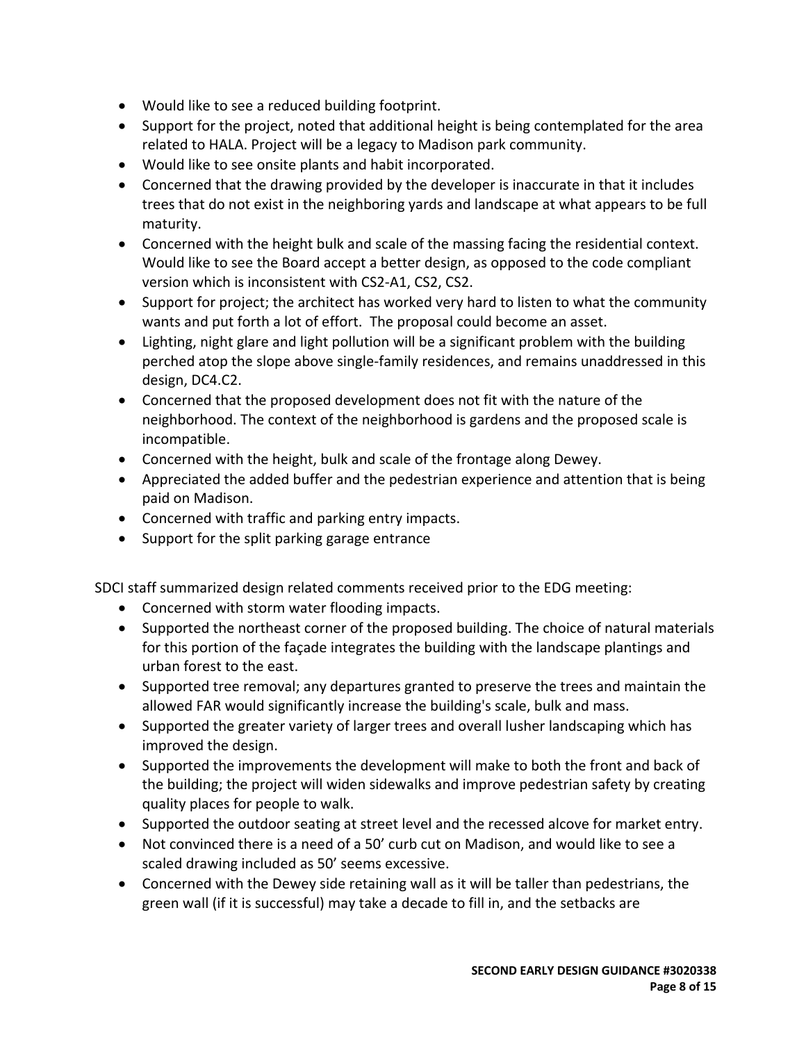- Would like to see a reduced building footprint.
- Support for the project, noted that additional height is being contemplated for the area related to HALA. Project will be a legacy to Madison park community.
- Would like to see onsite plants and habit incorporated.
- Concerned that the drawing provided by the developer is inaccurate in that it includes trees that do not exist in the neighboring yards and landscape at what appears to be full maturity.
- Concerned with the height bulk and scale of the massing facing the residential context. Would like to see the Board accept a better design, as opposed to the code compliant version which is inconsistent with CS2‐A1, CS2, CS2.
- Support for project; the architect has worked very hard to listen to what the community wants and put forth a lot of effort. The proposal could become an asset.
- Lighting, night glare and light pollution will be a significant problem with the building perched atop the slope above single‐family residences, and remains unaddressed in this design, DC4.C2.
- Concerned that the proposed development does not fit with the nature of the neighborhood. The context of the neighborhood is gardens and the proposed scale is incompatible.
- Concerned with the height, bulk and scale of the frontage along Dewey.
- Appreciated the added buffer and the pedestrian experience and attention that is being paid on Madison.
- Concerned with traffic and parking entry impacts.
- Support for the split parking garage entrance

SDCI staff summarized design related comments received prior to the EDG meeting:

- Concerned with storm water flooding impacts.
- Supported the northeast corner of the proposed building. The choice of natural materials for this portion of the façade integrates the building with the landscape plantings and urban forest to the east.
- Supported tree removal; any departures granted to preserve the trees and maintain the allowed FAR would significantly increase the building's scale, bulk and mass.
- Supported the greater variety of larger trees and overall lusher landscaping which has improved the design.
- Supported the improvements the development will make to both the front and back of the building; the project will widen sidewalks and improve pedestrian safety by creating quality places for people to walk.
- Supported the outdoor seating at street level and the recessed alcove for market entry.
- Not convinced there is a need of a 50' curb cut on Madison, and would like to see a scaled drawing included as 50' seems excessive.
- Concerned with the Dewey side retaining wall as it will be taller than pedestrians, the green wall (if it is successful) may take a decade to fill in, and the setbacks are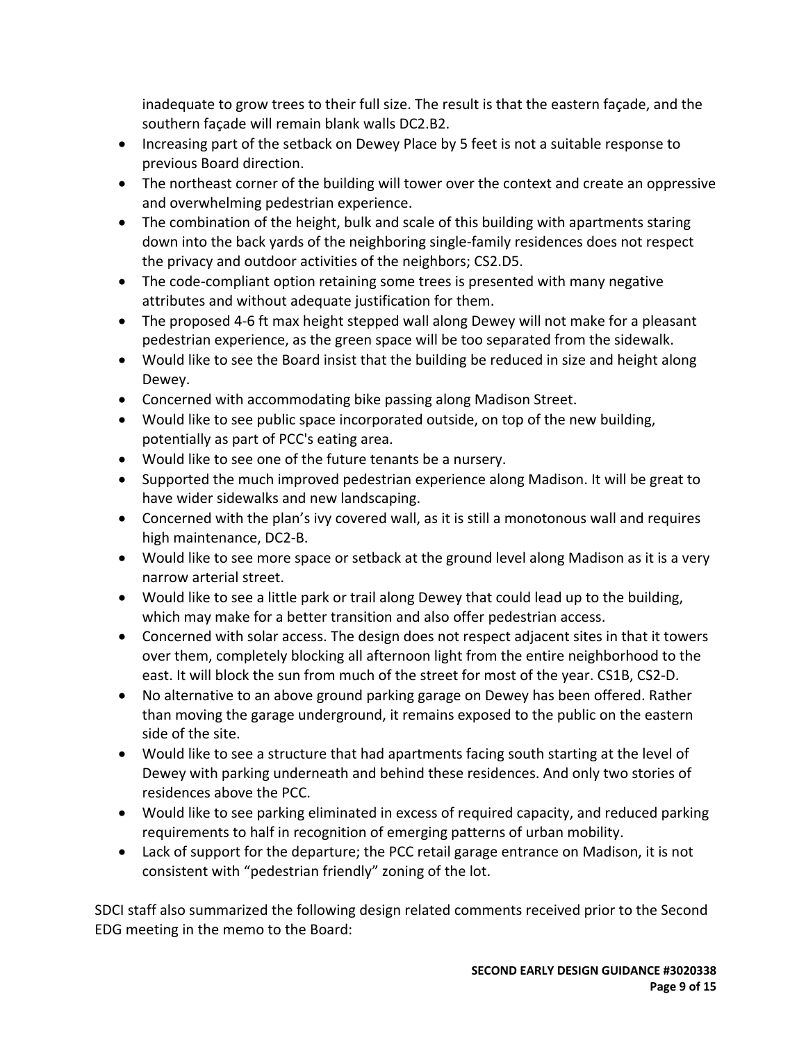inadequate to grow trees to their full size. The result is that the eastern façade, and the southern façade will remain blank walls DC2.B2.

- Increasing part of the setback on Dewey Place by 5 feet is not a suitable response to previous Board direction.
- The northeast corner of the building will tower over the context and create an oppressive and overwhelming pedestrian experience.
- The combination of the height, bulk and scale of this building with apartments staring down into the back yards of the neighboring single‐family residences does not respect the privacy and outdoor activities of the neighbors; CS2.D5.
- The code-compliant option retaining some trees is presented with many negative attributes and without adequate justification for them.
- The proposed 4‐6 ft max height stepped wall along Dewey will not make for a pleasant pedestrian experience, as the green space will be too separated from the sidewalk.
- Would like to see the Board insist that the building be reduced in size and height along Dewey.
- Concerned with accommodating bike passing along Madison Street.
- Would like to see public space incorporated outside, on top of the new building, potentially as part of PCC's eating area.
- Would like to see one of the future tenants be a nursery.
- Supported the much improved pedestrian experience along Madison. It will be great to have wider sidewalks and new landscaping.
- Concerned with the plan's ivy covered wall, as it is still a monotonous wall and requires high maintenance, DC2‐B.
- Would like to see more space or setback at the ground level along Madison as it is a very narrow arterial street.
- Would like to see a little park or trail along Dewey that could lead up to the building, which may make for a better transition and also offer pedestrian access.
- Concerned with solar access. The design does not respect adjacent sites in that it towers over them, completely blocking all afternoon light from the entire neighborhood to the east. It will block the sun from much of the street for most of the year. CS1B, CS2‐D.
- No alternative to an above ground parking garage on Dewey has been offered. Rather than moving the garage underground, it remains exposed to the public on the eastern side of the site.
- Would like to see a structure that had apartments facing south starting at the level of Dewey with parking underneath and behind these residences. And only two stories of residences above the PCC.
- Would like to see parking eliminated in excess of required capacity, and reduced parking requirements to half in recognition of emerging patterns of urban mobility.
- Lack of support for the departure; the PCC retail garage entrance on Madison, it is not consistent with "pedestrian friendly" zoning of the lot.

SDCI staff also summarized the following design related comments received prior to the Second EDG meeting in the memo to the Board: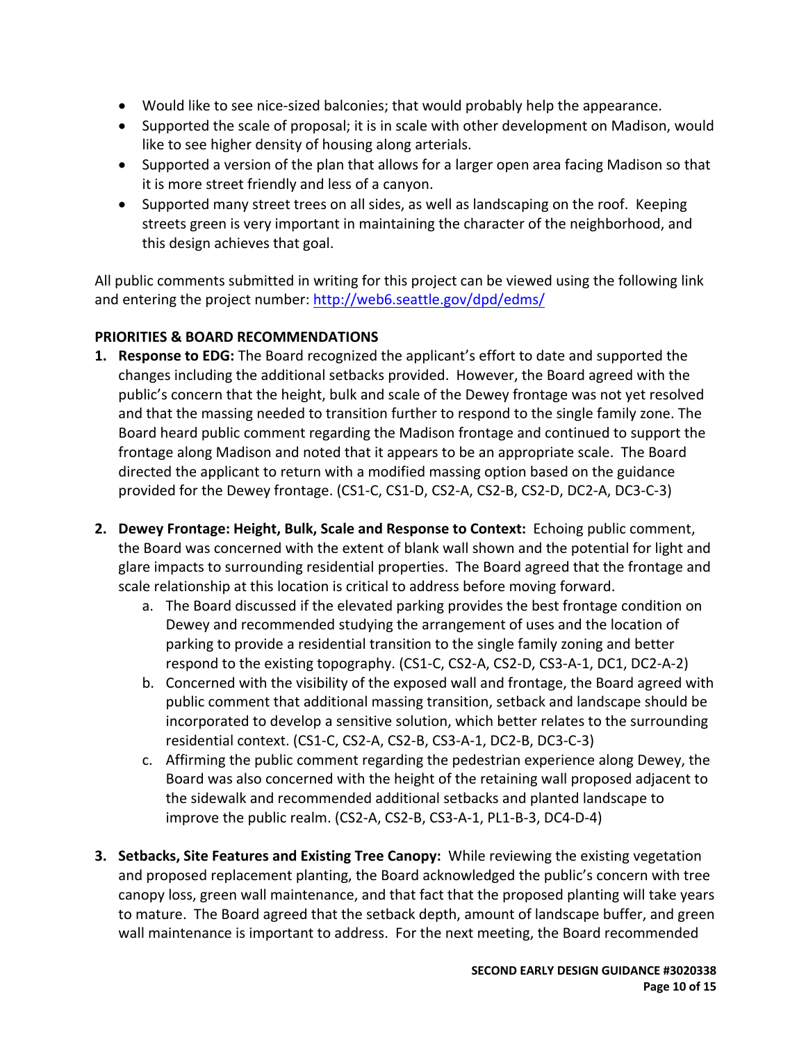- Would like to see nice-sized balconies; that would probably help the appearance.
- Supported the scale of proposal; it is in scale with other development on Madison, would like to see higher density of housing along arterials.
- Supported a version of the plan that allows for a larger open area facing Madison so that it is more street friendly and less of a canyon.
- Supported many street trees on all sides, as well as landscaping on the roof. Keeping streets green is very important in maintaining the character of the neighborhood, and this design achieves that goal.

All public comments submitted in writing for this project can be viewed using the following link and entering the project number: http://web6.seattle.gov/dpd/edms/

## **PRIORITIES & BOARD RECOMMENDATIONS**

- **1. Response to EDG:** The Board recognized the applicant's effort to date and supported the changes including the additional setbacks provided. However, the Board agreed with the public's concern that the height, bulk and scale of the Dewey frontage was not yet resolved and that the massing needed to transition further to respond to the single family zone. The Board heard public comment regarding the Madison frontage and continued to support the frontage along Madison and noted that it appears to be an appropriate scale. The Board directed the applicant to return with a modified massing option based on the guidance provided for the Dewey frontage. (CS1‐C, CS1‐D, CS2‐A, CS2‐B, CS2‐D, DC2‐A, DC3‐C‐3)
- **2. Dewey Frontage: Height, Bulk, Scale and Response to Context:** Echoing public comment, the Board was concerned with the extent of blank wall shown and the potential for light and glare impacts to surrounding residential properties. The Board agreed that the frontage and scale relationship at this location is critical to address before moving forward.
	- a. The Board discussed if the elevated parking provides the best frontage condition on Dewey and recommended studying the arrangement of uses and the location of parking to provide a residential transition to the single family zoning and better respond to the existing topography. (CS1‐C, CS2‐A, CS2‐D, CS3‐A‐1, DC1, DC2‐A‐2)
	- b. Concerned with the visibility of the exposed wall and frontage, the Board agreed with public comment that additional massing transition, setback and landscape should be incorporated to develop a sensitive solution, which better relates to the surrounding residential context. (CS1‐C, CS2‐A, CS2‐B, CS3‐A‐1, DC2‐B, DC3‐C‐3)
	- c. Affirming the public comment regarding the pedestrian experience along Dewey, the Board was also concerned with the height of the retaining wall proposed adjacent to the sidewalk and recommended additional setbacks and planted landscape to improve the public realm. (CS2‐A, CS2‐B, CS3‐A‐1, PL1‐B‐3, DC4‐D‐4)
- **3. Setbacks, Site Features and Existing Tree Canopy:** While reviewing the existing vegetation and proposed replacement planting, the Board acknowledged the public's concern with tree canopy loss, green wall maintenance, and that fact that the proposed planting will take years to mature. The Board agreed that the setback depth, amount of landscape buffer, and green wall maintenance is important to address. For the next meeting, the Board recommended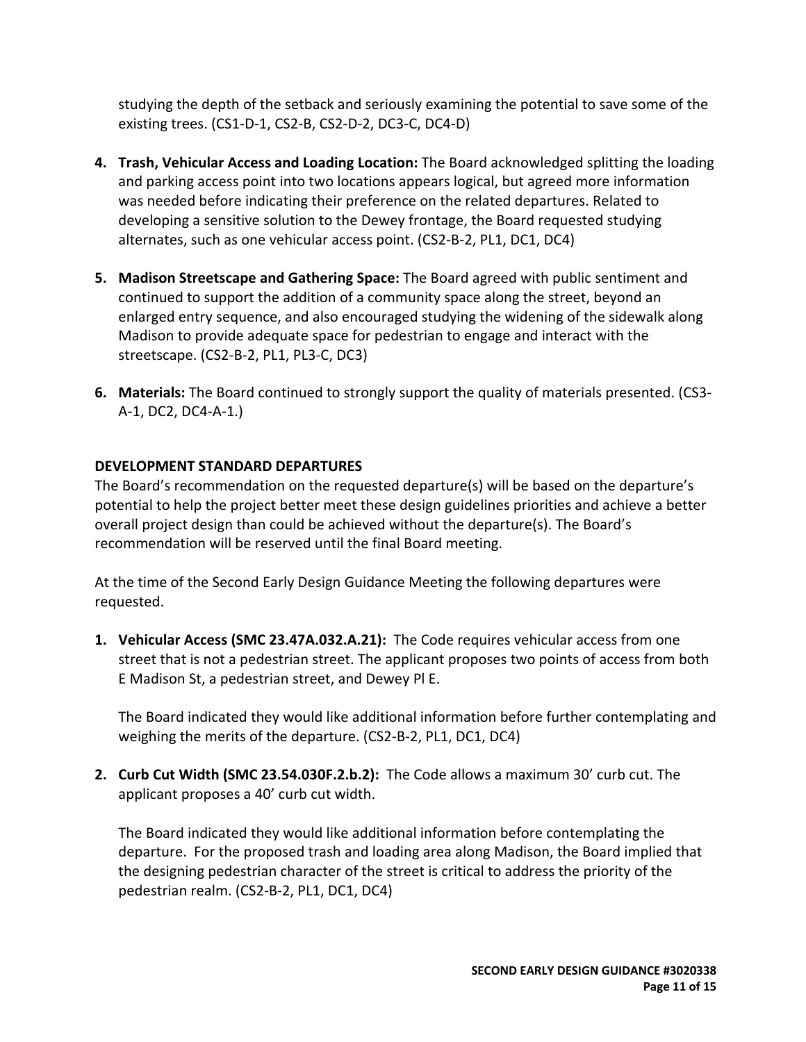studying the depth of the setback and seriously examining the potential to save some of the existing trees. (CS1‐D‐1, CS2‐B, CS2‐D‐2, DC3‐C, DC4‐D)

- **4. Trash, Vehicular Access and Loading Location:** The Board acknowledged splitting the loading and parking access point into two locations appears logical, but agreed more information was needed before indicating their preference on the related departures. Related to developing a sensitive solution to the Dewey frontage, the Board requested studying alternates, such as one vehicular access point. (CS2‐B‐2, PL1, DC1, DC4)
- **5. Madison Streetscape and Gathering Space:** The Board agreed with public sentiment and continued to support the addition of a community space along the street, beyond an enlarged entry sequence, and also encouraged studying the widening of the sidewalk along Madison to provide adequate space for pedestrian to engage and interact with the streetscape. (CS2‐B‐2, PL1, PL3‐C, DC3)
- **6. Materials:** The Board continued to strongly support the quality of materials presented. (CS3‐ A‐1, DC2, DC4‐A‐1.)

## **DEVELOPMENT STANDARD DEPARTURES**

The Board's recommendation on the requested departure(s) will be based on the departure's potential to help the project better meet these design guidelines priorities and achieve a better overall project design than could be achieved without the departure(s). The Board's recommendation will be reserved until the final Board meeting.

At the time of the Second Early Design Guidance Meeting the following departures were requested.

**1. Vehicular Access (SMC 23.47A.032.A.21):** The Code requires vehicular access from one street that is not a pedestrian street. The applicant proposes two points of access from both E Madison St, a pedestrian street, and Dewey Pl E.

The Board indicated they would like additional information before further contemplating and weighing the merits of the departure. (CS2‐B‐2, PL1, DC1, DC4)

**2. Curb Cut Width (SMC 23.54.030F.2.b.2):** The Code allows a maximum 30' curb cut. The applicant proposes a 40' curb cut width.

The Board indicated they would like additional information before contemplating the departure. For the proposed trash and loading area along Madison, the Board implied that the designing pedestrian character of the street is critical to address the priority of the pedestrian realm. (CS2‐B‐2, PL1, DC1, DC4)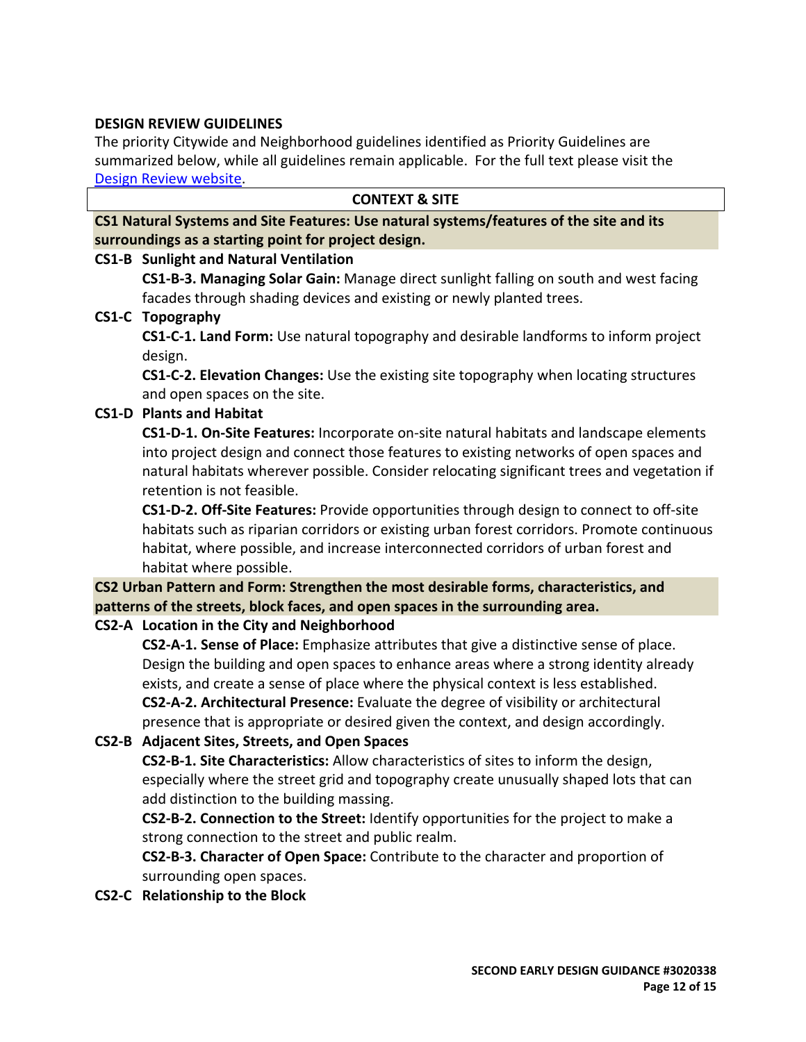#### **DESIGN REVIEW GUIDELINES**

The priority Citywide and Neighborhood guidelines identified as Priority Guidelines are summarized below, while all guidelines remain applicable. For the full text please visit the Design Review website.

#### **CONTEXT & SITE**

**CS1 Natural Systems and Site Features: Use natural systems/features of the site and its surroundings as a starting point for project design.**

#### **CS1‐B Sunlight and Natural Ventilation**

**CS1‐B‐3. Managing Solar Gain:** Manage direct sunlight falling on south and west facing facades through shading devices and existing or newly planted trees.

#### **CS1‐C Topography**

**CS1‐C‐1. Land Form:** Use natural topography and desirable landforms to inform project design.

**CS1‐C‐2. Elevation Changes:** Use the existing site topography when locating structures and open spaces on the site.

#### **CS1‐D Plants and Habitat**

**CS1‐D‐1. On‐Site Features:** Incorporate on‐site natural habitats and landscape elements into project design and connect those features to existing networks of open spaces and natural habitats wherever possible. Consider relocating significant trees and vegetation if retention is not feasible.

**CS1‐D‐2. Off‐Site Features:** Provide opportunities through design to connect to off‐site habitats such as riparian corridors or existing urban forest corridors. Promote continuous habitat, where possible, and increase interconnected corridors of urban forest and habitat where possible.

# **CS2 Urban Pattern and Form: Strengthen the most desirable forms, characteristics, and patterns of the streets, block faces, and open spaces in the surrounding area.**

## **CS2‐A Location in the City and Neighborhood**

**CS2‐A‐1. Sense of Place:** Emphasize attributes that give a distinctive sense of place. Design the building and open spaces to enhance areas where a strong identity already exists, and create a sense of place where the physical context is less established. **CS2‐A‐2. Architectural Presence:** Evaluate the degree of visibility or architectural presence that is appropriate or desired given the context, and design accordingly.

## **CS2‐B Adjacent Sites, Streets, and Open Spaces**

**CS2‐B‐1. Site Characteristics:** Allow characteristics of sites to inform the design, especially where the street grid and topography create unusually shaped lots that can add distinction to the building massing.

**CS2‐B‐2. Connection to the Street:** Identify opportunities for the project to make a strong connection to the street and public realm.

**CS2‐B‐3. Character of Open Space:** Contribute to the character and proportion of surrounding open spaces.

**CS2‐C Relationship to the Block**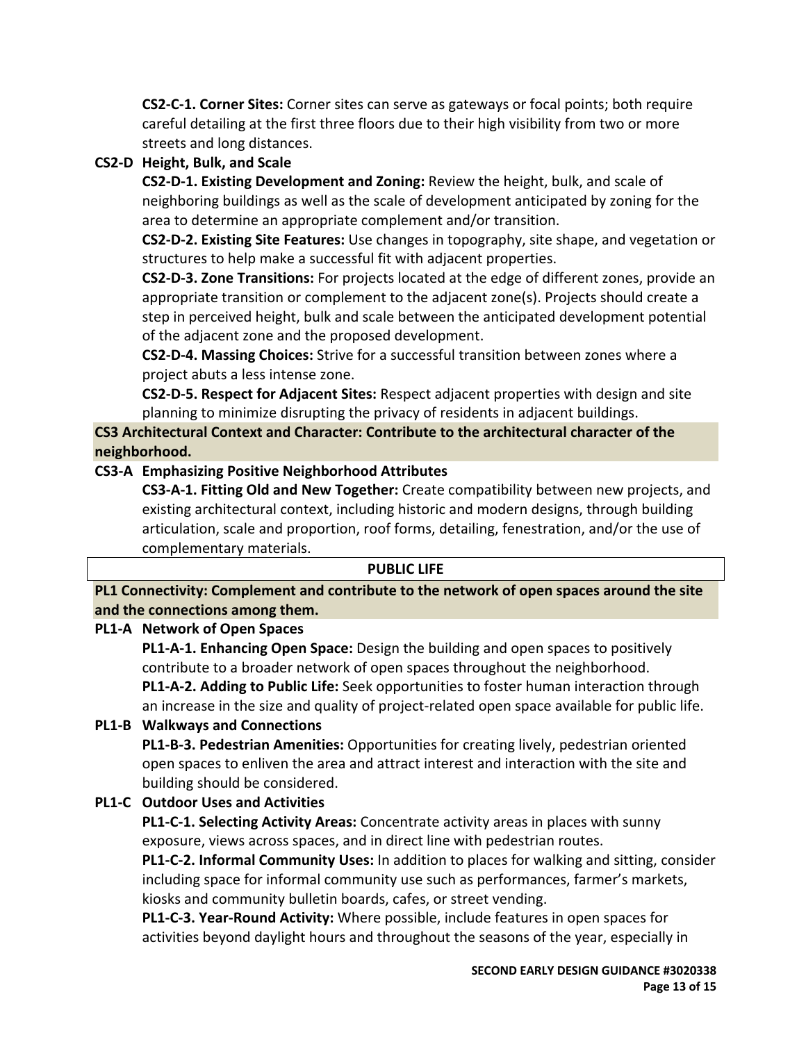**CS2‐C‐1. Corner Sites:** Corner sites can serve as gateways or focal points; both require careful detailing at the first three floors due to their high visibility from two or more streets and long distances.

## **CS2‐D Height, Bulk, and Scale**

**CS2‐D‐1. Existing Development and Zoning:** Review the height, bulk, and scale of neighboring buildings as well as the scale of development anticipated by zoning for the area to determine an appropriate complement and/or transition.

**CS2‐D‐2. Existing Site Features:** Use changes in topography, site shape, and vegetation or structures to help make a successful fit with adjacent properties.

**CS2‐D‐3. Zone Transitions:** For projects located at the edge of different zones, provide an appropriate transition or complement to the adjacent zone(s). Projects should create a step in perceived height, bulk and scale between the anticipated development potential of the adjacent zone and the proposed development.

**CS2‐D‐4. Massing Choices:** Strive for a successful transition between zones where a project abuts a less intense zone.

**CS2‐D‐5. Respect for Adjacent Sites:** Respect adjacent properties with design and site planning to minimize disrupting the privacy of residents in adjacent buildings.

**CS3 Architectural Context and Character: Contribute to the architectural character of the neighborhood.**

# **CS3‐A Emphasizing Positive Neighborhood Attributes**

**CS3‐A‐1. Fitting Old and New Together:** Create compatibility between new projects, and existing architectural context, including historic and modern designs, through building articulation, scale and proportion, roof forms, detailing, fenestration, and/or the use of complementary materials.

## **PUBLIC LIFE**

**PL1 Connectivity: Complement and contribute to the network of open spaces around the site and the connections among them.**

## **PL1‐A Network of Open Spaces**

**PL1‐A‐1. Enhancing Open Space:** Design the building and open spaces to positively contribute to a broader network of open spaces throughout the neighborhood. **PL1‐A‐2. Adding to Public Life:** Seek opportunities to foster human interaction through an increase in the size and quality of project‐related open space available for public life.

# **PL1‐B Walkways and Connections**

**PL1‐B‐3. Pedestrian Amenities:** Opportunities for creating lively, pedestrian oriented open spaces to enliven the area and attract interest and interaction with the site and building should be considered.

# **PL1‐C Outdoor Uses and Activities**

**PL1‐C‐1. Selecting Activity Areas:** Concentrate activity areas in places with sunny exposure, views across spaces, and in direct line with pedestrian routes.

**PL1‐C‐2. Informal Community Uses:** In addition to places for walking and sitting, consider including space for informal community use such as performances, farmer's markets, kiosks and community bulletin boards, cafes, or street vending.

**PL1‐C‐3. Year‐Round Activity:** Where possible, include features in open spaces for activities beyond daylight hours and throughout the seasons of the year, especially in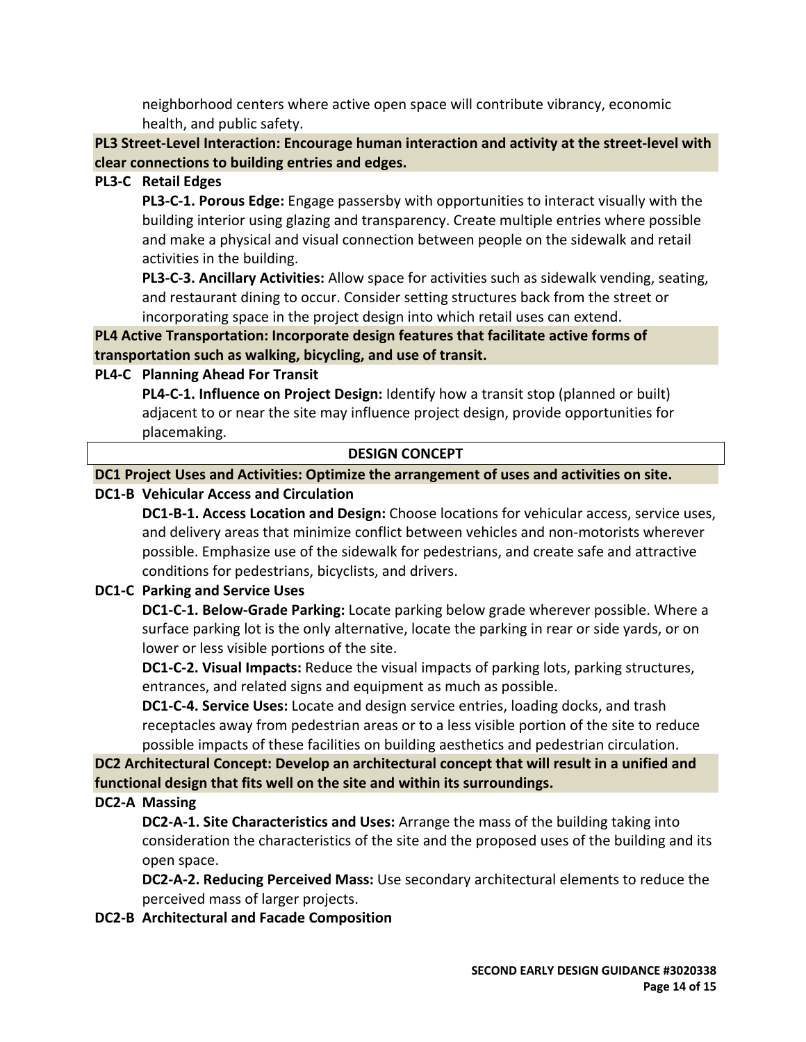neighborhood centers where active open space will contribute vibrancy, economic health, and public safety.

**PL3 Street‐Level Interaction: Encourage human interaction and activity at the street‐level with clear connections to building entries and edges.**

## **PL3‐C Retail Edges**

**PL3‐C‐1. Porous Edge:** Engage passersby with opportunities to interact visually with the building interior using glazing and transparency. Create multiple entries where possible and make a physical and visual connection between people on the sidewalk and retail activities in the building.

**PL3‐C‐3. Ancillary Activities:** Allow space for activities such as sidewalk vending, seating, and restaurant dining to occur. Consider setting structures back from the street or incorporating space in the project design into which retail uses can extend.

**PL4 Active Transportation: Incorporate design features that facilitate active forms of transportation such as walking, bicycling, and use of transit.**

## **PL4‐C Planning Ahead For Transit**

**PL4‐C‐1. Influence on Project Design:** Identify how a transit stop (planned or built) adjacent to or near the site may influence project design, provide opportunities for placemaking.

## **DESIGN CONCEPT**

**DC1 Project Uses and Activities: Optimize the arrangement of uses and activities on site.**

## **DC1‐B Vehicular Access and Circulation**

**DC1‐B‐1. Access Location and Design:** Choose locations for vehicular access, service uses, and delivery areas that minimize conflict between vehicles and non‐motorists wherever possible. Emphasize use of the sidewalk for pedestrians, and create safe and attractive conditions for pedestrians, bicyclists, and drivers.

## **DC1‐C Parking and Service Uses**

**DC1‐C‐1. Below‐Grade Parking:** Locate parking below grade wherever possible. Where a surface parking lot is the only alternative, locate the parking in rear or side yards, or on lower or less visible portions of the site.

**DC1‐C‐2. Visual Impacts:** Reduce the visual impacts of parking lots, parking structures, entrances, and related signs and equipment as much as possible.

**DC1‐C‐4. Service Uses:** Locate and design service entries, loading docks, and trash receptacles away from pedestrian areas or to a less visible portion of the site to reduce possible impacts of these facilities on building aesthetics and pedestrian circulation.

**DC2 Architectural Concept: Develop an architectural concept that will result in a unified and functional design that fits well on the site and within its surroundings.**

## **DC2‐A Massing**

**DC2‐A‐1. Site Characteristics and Uses:** Arrange the mass of the building taking into consideration the characteristics of the site and the proposed uses of the building and its open space.

**DC2‐A‐2. Reducing Perceived Mass:** Use secondary architectural elements to reduce the perceived mass of larger projects.

**DC2‐B Architectural and Facade Composition**